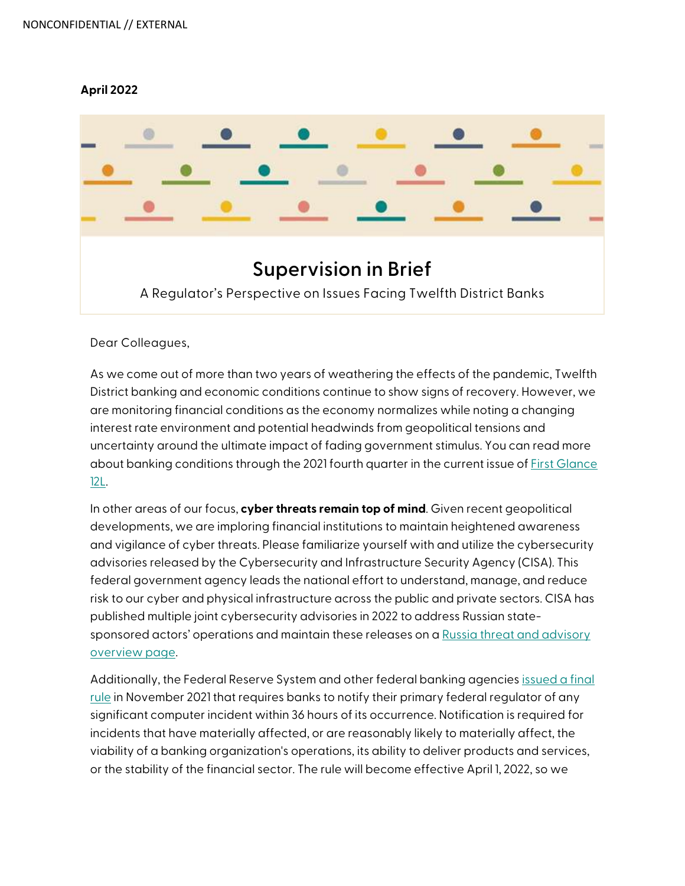## **April 2022**



Dear Colleagues,

As we come out of more than two years of weathering the effects of the pandemic, Twelfth District banking and economic conditions continue to show signs of recovery. However, we are monitoring financial conditions as the economy normalizes while noting a changing interest rate environment and potential headwinds from geopolitical tensions and uncertainty around the ultimate impact of fading government stimulus. You can read more about banking conditions through the 2021 fourth quarter in the current issue o[f First Glance](https://www.frbsf.org/banking/publications/first-glance-12l/2022/march/the-recovery-continued-but-a-new-year-brings-new-uncertainties/)  [12L.](https://www.frbsf.org/banking/publications/first-glance-12l/2022/march/the-recovery-continued-but-a-new-year-brings-new-uncertainties/) 

In other areas of our focus, **cyber threats remain top of mind**. Given recent geopolitical developments, we are imploring financial institutions to maintain heightened awareness and vigilance of cyber threats. Please familiarize yourself with and utilize the cybersecurity advisories released by the Cybersecurity and Infrastructure Security Agency (CISA). This federal government agency leads the national effort to understand, manage, and reduce risk to our cyber and physical infrastructure across the public and private sectors. CISA has published multiple joint cybersecurity advisories in 2022 to address Russian statesponsored actors' operations and maintain these releases on [a Russia threat and advisory](https://www.cisa.gov/uscert/russia)  [overview page.](https://www.cisa.gov/uscert/russia)

Additionally, the Federal Reserve System and other federal banking agencies [issued a final](https://www.federalreserve.gov/newsevents/pressreleases/bcreg20211118a.htm)  [rule](https://www.federalreserve.gov/newsevents/pressreleases/bcreg20211118a.htm) in November 2021 that requires banks to notify their primary federal regulator of any significant computer incident within 36 hours of its occurrence. Notification is required for incidents that have materially affected, or are reasonably likely to materially affect, the viability of a banking organization's operations, its ability to deliver products and services, or the stability of the financial sector. The rule will become effective April 1, 2022, so we